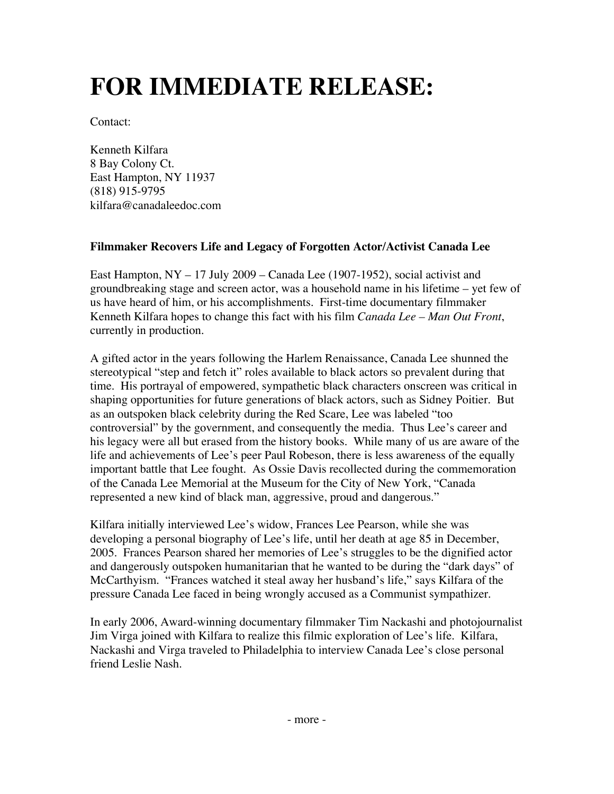## **FOR IMMEDIATE RELEASE:**

Contact:

Kenneth Kilfara 8 Bay Colony Ct. East Hampton, NY 11937 (818) 915-9795 kilfara@canadaleedoc.com

## **Filmmaker Recovers Life and Legacy of Forgotten Actor/Activist Canada Lee**

East Hampton,  $NY - 17$  July 2009 – Canada Lee (1907-1952), social activist and groundbreaking stage and screen actor, was a household name in his lifetime – yet few of us have heard of him, or his accomplishments. First-time documentary filmmaker Kenneth Kilfara hopes to change this fact with his film *Canada Lee – Man Out Front*, currently in production.

A gifted actor in the years following the Harlem Renaissance, Canada Lee shunned the stereotypical "step and fetch it" roles available to black actors so prevalent during that time. His portrayal of empowered, sympathetic black characters onscreen was critical in shaping opportunities for future generations of black actors, such as Sidney Poitier. But as an outspoken black celebrity during the Red Scare, Lee was labeled "too controversial" by the government, and consequently the media. Thus Lee's career and his legacy were all but erased from the history books. While many of us are aware of the life and achievements of Lee's peer Paul Robeson, there is less awareness of the equally important battle that Lee fought. As Ossie Davis recollected during the commemoration of the Canada Lee Memorial at the Museum for the City of New York, "Canada represented a new kind of black man, aggressive, proud and dangerous."

Kilfara initially interviewed Lee's widow, Frances Lee Pearson, while she was developing a personal biography of Lee's life, until her death at age 85 in December, 2005. Frances Pearson shared her memories of Lee's struggles to be the dignified actor and dangerously outspoken humanitarian that he wanted to be during the "dark days" of McCarthyism. "Frances watched it steal away her husband's life," says Kilfara of the pressure Canada Lee faced in being wrongly accused as a Communist sympathizer.

In early 2006, Award-winning documentary filmmaker Tim Nackashi and photojournalist Jim Virga joined with Kilfara to realize this filmic exploration of Lee's life. Kilfara, Nackashi and Virga traveled to Philadelphia to interview Canada Lee's close personal friend Leslie Nash.